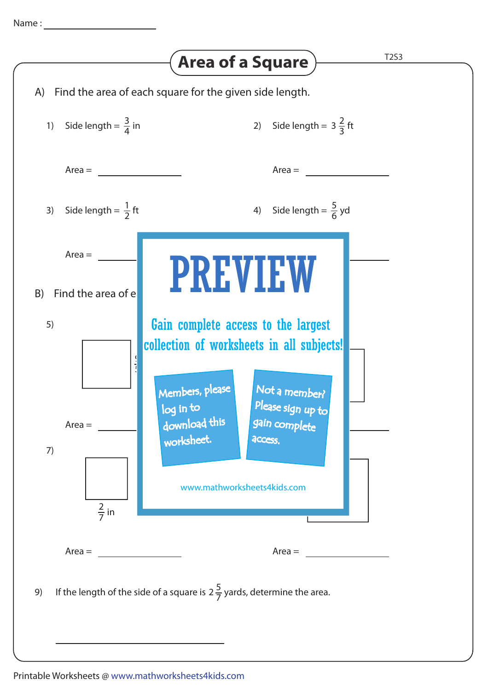